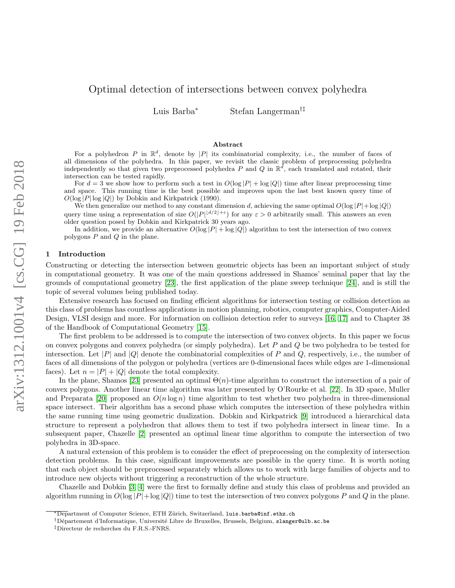# Optimal detection of intersections between convex polyhedra

Luis Barba<sup>∗</sup> Stefan Langerman†‡

#### Abstract

For a polyhedron P in  $\mathbb{R}^d$ , denote by |P| its combinatorial complexity, i.e., the number of faces of all dimensions of the polyhedra. In this paper, we revisit the classic problem of preprocessing polyhedra independently so that given two preprocessed polyhedra P and Q in  $\mathbb{R}^d$ , each translated and rotated, their intersection can be tested rapidly.

For  $d = 3$  we show how to perform such a test in  $O(\log |P| + \log |Q|)$  time after linear preprocessing time and space. This running time is the best possible and improves upon the last best known query time of  $O(\log |P| \log |Q|)$  by Dobkin and Kirkpatrick (1990).

We then generalize our method to any constant dimension d, achieving the same optimal  $O(\log |P| + \log |Q|)$ query time using a representation of size  $O(|P|^{\lfloor d/2 \rfloor + \varepsilon})$  for any  $\varepsilon > 0$  arbitrarily small. This answers an even older question posed by Dobkin and Kirkpatrick 30 years ago.

In addition, we provide an alternative  $O(\log |P| + \log |Q|)$  algorithm to test the intersection of two convex polygons P and Q in the plane.

#### 1 Introduction

Constructing or detecting the intersection between geometric objects has been an important subject of study in computational geometry. It was one of the main questions addressed in Shamos' seminal paper that lay the grounds of computational geometry [\[23\]](#page-15-0), the first application of the plane sweep technique [\[24\]](#page-15-1), and is still the topic of several volumes being published today.

Extensive research has focused on finding efficient algorithms for intersection testing or collision detection as this class of problems has countless applications in motion planning, robotics, computer graphics, Computer-Aided Design, VLSI design and more. For information on collision detection refer to surveys [\[16,](#page-15-2) [17\]](#page-15-3) and to Chapter 38 of the Handbook of Computational Geometry [\[15\]](#page-15-4).

The first problem to be addressed is to compute the intersection of two convex objects. In this paper we focus on convex polygons and convex polyhedra (or simply polyhedra). Let  $P$  and  $Q$  be two polyhedra to be tested for intersection. Let |P| and |Q| denote the combinatorial complexities of P and Q, respectively, i.e., the number of faces of all dimensions of the polygon or polyhedra (vertices are 0-dimensional faces while edges are 1-dimensional faces). Let  $n = |P| + |Q|$  denote the total complexity.

In the plane, Shamos [\[23\]](#page-15-0) presented an optimal  $\Theta(n)$ -time algorithm to construct the intersection of a pair of convex polygons. Another linear time algorithm was later presented by O'Rourke et al. [\[22\]](#page-15-5). In 3D space, Muller and Preparata [\[20\]](#page-15-6) proposed an  $O(n \log n)$  time algorithm to test whether two polyhedra in three-dimensional space intersect. Their algorithm has a second phase which computes the intersection of these polyhedra within the same running time using geometric dualization. Dobkin and Kirkpatrick [\[9\]](#page-15-7) introduced a hierarchical data structure to represent a polyhedron that allows them to test if two polyhedra intersect in linear time. In a subsequent paper, Chazelle [\[2\]](#page-14-0) presented an optimal linear time algorithm to compute the intersection of two polyhedra in 3D-space.

A natural extension of this problem is to consider the effect of preprocessing on the complexity of intersection detection problems. In this case, significant improvements are possible in the query time. It is worth noting that each object should be preprocessed separately which allows us to work with large families of objects and to introduce new objects without triggering a reconstruction of the whole structure.

Chazelle and Dobkin [\[3,](#page-14-1) [4\]](#page-14-2) were the first to formally define and study this class of problems and provided an algorithm running in  $O(\log |P| + \log |Q|)$  time to test the intersection of two convex polygons P and Q in the plane.

<sup>\*</sup>Department of Computer Science, ETH Zürich, Switzerland, luis.barba@inf.ethz.ch

<sup>†</sup>Département d'Informatique, Université Libre de Bruxelles, Brussels, Belgium, slanger@ulb.ac.be

<sup>‡</sup>Directeur de recherches du F.R.S.-FNRS.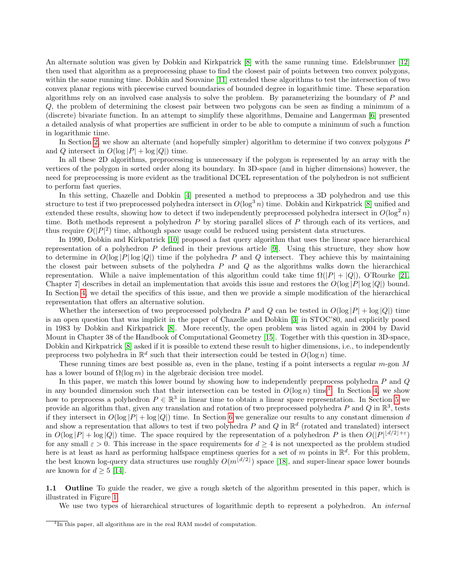An alternate solution was given by Dobkin and Kirkpatrick [\[8\]](#page-14-3) with the same running time. Edelsbrunner [\[12\]](#page-15-8) then used that algorithm as a preprocessing phase to find the closest pair of points between two convex polygons, within the same running time. Dobkin and Souvaine [\[11\]](#page-15-9) extended these algorithms to test the intersection of two convex planar regions with piecewise curved boundaries of bounded degree in logarithmic time. These separation algorithms rely on an involved case analysis to solve the problem. By parameterizing the boundary of P and Q, the problem of determining the closest pair between two polygons can be seen as finding a minimum of a (discrete) bivariate function. In an attempt to simplify these algorithms, Demaine and Langerman [\[6\]](#page-14-4) presented a detailed analysis of what properties are sufficient in order to be able to compute a minimum of such a function in logarithmic time.

In Section [2,](#page-2-0) we show an alternate (and hopefully simpler) algorithm to determine if two convex polygons P and Q intersect in  $O(\log |P| + \log |Q|)$  time.

In all these 2D algorithms, preprocessing is unnecessary if the polygon is represented by an array with the vertices of the polygon in sorted order along its boundary. In 3D-space (and in higher dimensions) however, the need for preprocessing is more evident as the traditional DCEL representation of the polyhedron is not sufficient to perform fast queries.

In this setting, Chazelle and Dobkin [\[4\]](#page-14-2) presented a method to preprocess a 3D polyhedron and use this structure to test if two preprocessed polyhedra intersect in  $O(\log^3 n)$  time. Dobkin and Kirkpatrick [\[8\]](#page-14-3) unified and extended these results, showing how to detect if two independently preprocessed polyhedra intersect in  $O(\log^2 n)$ time. Both methods represent a polyhedron P by storing parallel slices of P through each of its vertices, and thus require  $O(|P|^2)$  time, although space usage could be reduced using persistent data structures.

In 1990, Dobkin and Kirkpatrick [\[10\]](#page-15-10) proposed a fast query algorithm that uses the linear space hierarchical representation of a polyhedron  $P$  defined in their previous article [\[9\]](#page-15-7). Using this structure, they show how to determine in  $O(\log |P| \log |Q|)$  time if the polyhedra P and Q intersect. They achieve this by maintaining the closest pair between subsets of the polyhedra  $P$  and  $Q$  as the algorithms walks down the hierarchical representation. While a naive implementation of this algorithm could take time  $\Omega(|P| + |Q|)$ , O'Rourke [\[21,](#page-15-11) Chapter 7 describes in detail an implementation that avoids this issue and restores the  $O(\log |P| \log |Q|)$  bound. In Section [4,](#page-7-0) we detail the specifics of this issue, and then we provide a simple modification of the hierarchical representation that offers an alternative solution.

Whether the intersection of two preprocessed polyhedra P and Q can be tested in  $O(\log |P| + \log |Q|)$  time is an open question that was implicit in the paper of Chazelle and Dobkin [\[3\]](#page-14-1) in STOC'80, and explicitly posed in 1983 by Dobkin and Kirkpatrick [\[8\]](#page-14-3). More recently, the open problem was listed again in 2004 by David Mount in Chapter 38 of the Handbook of Computational Geometry [\[15\]](#page-15-4). Together with this question in 3D-space, Dobkin and Kirkpatrick [\[8\]](#page-14-3) asked if it is possible to extend these result to higher dimensions, i.e., to independently preprocess two polyhedra in  $\mathbb{R}^d$  such that their intersection could be tested in  $O(\log n)$  time.

These running times are best possible as, even in the plane, testing if a point intersects a regular  $m$ -gon  $M$ has a lower bound of  $\Omega(\log m)$  in the algebraic decision tree model.

In this paper, we match this lower bound by showing how to independently preprocess polyhedra P and Q in any bounded dimension such that their intersection can be tested in  $O(\log n)$  time<sup>[1](#page-1-0)</sup>. In Section [4,](#page-7-0) we show how to preprocess a polyhedron  $P \in \mathbb{R}^3$  in linear time to obtain a linear space representation. In Section [5](#page-9-0) we provide an algorithm that, given any translation and rotation of two preprocessed polyhedra P and Q in  $\mathbb{R}^3$ , tests if they intersect in  $O(\log |P| + \log |Q|)$  time. In Section [6](#page-11-0) we generalize our results to any constant dimension d and show a representation that allows to test if two polyhedra P and Q in  $\mathbb{R}^d$  (rotated and translated) intersect in  $O(\log |P| + \log |Q|)$  time. The space required by the representation of a polyhedron P is then  $O(|P|^{[d/2]+\varepsilon})$ for any small  $\varepsilon > 0$ . This increase in the space requirements for  $d \geq 4$  is not unexpected as the problem studied here is at least as hard as performing halfspace emptiness queries for a set of m points in  $\mathbb{R}^d$ . For this problem, the best known log-query data structures use roughly  $O(m^{\lfloor d/2 \rfloor})$  space [\[18\]](#page-15-12), and super-linear space lower bounds are known for  $d > 5$  [\[14\]](#page-15-13).

1.1 Outline To guide the reader, we give a rough sketch of the algorithm presented in this paper, which is illustrated in Figure [1.](#page-2-1)

We use two types of hierarchical structures of logarithmic depth to represent a polyhedron. An *internal* 

<span id="page-1-0"></span><sup>&</sup>lt;sup>1</sup>In this paper, all algorithms are in the real RAM model of computation.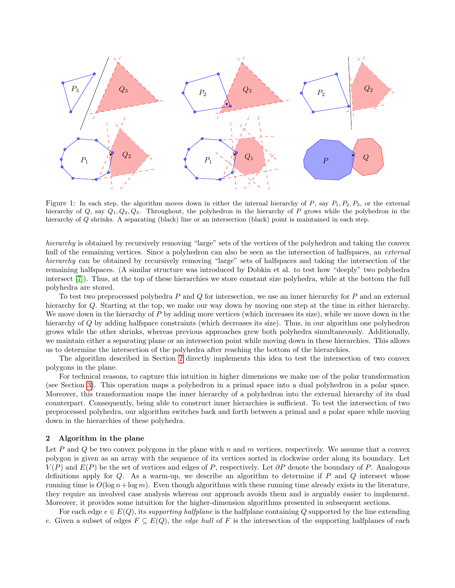

<span id="page-2-1"></span>Figure 1: In each step, the algorithm moves down in either the internal hierarchy of P, say  $P_1, P_2, P_3$ , or the external hierarchy of Q, say  $Q_1, Q_2, Q_3$ . Throughout, the polyhedron in the hierarchy of P grows while the polyhedron in the hierarchy of Q shrinks. A separating (black) line or an intersection (black) point is maintained in each step.

hierarchy is obtained by recursively removing "large" sets of the vertices of the polyhedron and taking the convex hull of the remaining vertices. Since a polyhedron can also be seen as the intersection of halfspaces, an *external* hierarchy can be obtained by recursively removing "large" sets of halfspaces and taking the intersection of the remaining halfspaces. (A similar structure was introduced by Dobkin et al. to test how "deeply" two polyhedra intersect [\[7\]](#page-14-5)). Thus, at the top of these hierarchies we store constant size polyhedra, while at the bottom the full polyhedra are stored.

To test two preprocessed polyhedra  $P$  and  $Q$  for intersection, we use an inner hierarchy for  $P$  and an external hierarchy for Q. Starting at the top, we make our way down by moving one step at the time in either hierarchy. We move down in the hierarchy of  $P$  by adding more vertices (which increases its size), while we move down in the hierarchy of Q by adding halfspace constraints (which decreases its size). Thus, in our algorithm one polyhedron grows while the other shrinks, whereas previous approaches grew both polyhedra simultaneously. Additionally, we maintain either a separating plane or an intersection point while moving down in these hierarchies. This allows us to determine the intersection of the polyhedra after reaching the bottom of the hierarchies.

The algorithm described in Section [2](#page-2-0) directly implements this idea to test the intersection of two convex polygons in the plane.

For technical reasons, to capture this intuition in higher dimensions we make use of the polar transformation (see Section [3\)](#page-4-0). This operation maps a polyhedron in a primal space into a dual polyhedron in a polar space. Moreover, this transformation maps the inner hierarchy of a polyhedron into the external hierarchy of its dual counterpart. Consequently, being able to construct inner hierarchies is sufficient. To test the intersection of two preprocessed polyhedra, our algorithm switches back and forth between a primal and a polar space while moving down in the hierarchies of these polyhedra.

#### <span id="page-2-0"></span>2 Algorithm in the plane

Let P and Q be two convex polygons in the plane with  $n$  and  $m$  vertices, respectively. We assume that a convex polygon is given as an array with the sequence of its vertices sorted in clockwise order along its boundary. Let  $V(P)$  and  $E(P)$  be the set of vertices and edges of P, respectively. Let  $\partial P$  denote the boundary of P. Analogous definitions apply for  $Q$ . As a warm-up, we describe an algorithm to determine if  $P$  and  $Q$  intersect whose running time is  $O(\log n + \log m)$ . Even though algorithms with these running time already exists in the literature, they require an involved case analysis whereas our approach avoids them and is arguably easier to implement. Moreover, it provides some intuition for the higher-dimension algorithms presented in subsequent sections.

For each edge  $e \in E(Q)$ , its *supporting halfplane* is the halfplane containing Q supported by the line extending e. Given a subset of edges  $F \subseteq E(Q)$ , the *edge hull* of F is the intersection of the supporting halfplanes of each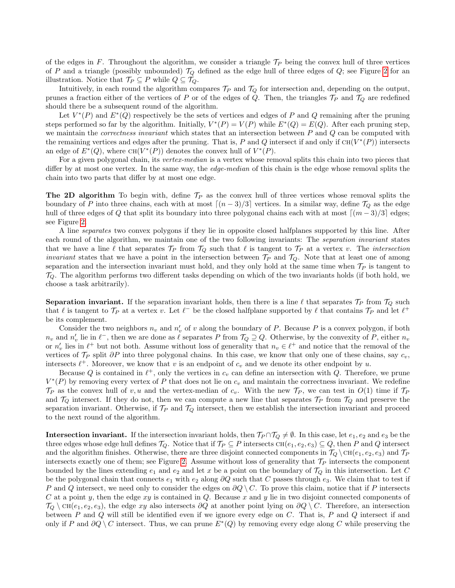of the edges in F. Throughout the algorithm, we consider a triangle  $\mathcal{T}_P$  being the convex hull of three vertices of P and a triangle (possibly unbounded)  $\mathcal{T}_Q$  defined as the edge hull of three edges of Q; see Figure [2](#page-4-1) for an illustration. Notice that  $\mathcal{T}_P \subseteq P$  while  $Q \subseteq \mathcal{T}_Q$ .

Intuitively, in each round the algorithm compares  $\mathcal{T}_P$  and  $\mathcal{T}_Q$  for intersection and, depending on the output, prunes a fraction either of the vertices of P or of the edges of Q. Then, the triangles  $\mathcal{T}_P$  and  $\mathcal{T}_Q$  are redefined should there be a subsequent round of the algorithm.

Let  $V^*(P)$  and  $E^*(Q)$  respectively be the sets of vertices and edges of P and Q remaining after the pruning steps performed so far by the algorithm. Initially,  $V^*(P) = V(P)$  while  $E^*(Q) = E(Q)$ . After each pruning step, we maintain the *correctness invariant* which states that an intersection between  $P$  and  $Q$  can be computed with the remaining vertices and edges after the pruning. That is, P and Q intersect if and only if  $CH(V^*(P))$  intersects an edge of  $E^*(Q)$ , where CH( $V^*(P)$ ) denotes the convex hull of  $V^*(P)$ .

For a given polygonal chain, its vertex-median is a vertex whose removal splits this chain into two pieces that differ by at most one vertex. In the same way, the *edge-median* of this chain is the edge whose removal splits the chain into two parts that differ by at most one edge.

**The 2D algorithm** To begin with, define  $\mathcal{T}_P$  as the convex hull of three vertices whose removal splits the boundary of P into three chains, each with at most  $\lfloor (n-3)/3 \rfloor$  vertices. In a similar way, define  $\mathcal{T}_Q$  as the edge hull of three edges of Q that split its boundary into three polygonal chains each with at most  $\lceil (m-3)/3 \rceil$  edges; see Figure [2.](#page-4-1)

A line separates two convex polygons if they lie in opposite closed halfplanes supported by this line. After each round of the algorithm, we maintain one of the two following invariants: The *separation invariant* states that we have a line  $\ell$  that separates  $\mathcal{T}_P$  from  $\mathcal{T}_Q$  such that  $\ell$  is tangent to  $\mathcal{T}_P$  at a vertex v. The *intersection* invariant states that we have a point in the intersection between  $\mathcal{T}_P$  and  $\mathcal{T}_Q$ . Note that at least one of among separation and the intersection invariant must hold, and they only hold at the same time when  $\mathcal{T}_P$  is tangent to  $\mathcal{T}_Q$ . The algorithm performs two different tasks depending on which of the two invariants holds (if both hold, we choose a task arbitrarily).

**Separation invariant.** If the separation invariant holds, then there is a line  $\ell$  that separates  $\mathcal{T}_P$  from  $\mathcal{T}_Q$  such that  $\ell$  is tangent to  $\mathcal{T}_P$  at a vertex v. Let  $\ell^-$  be the closed halfplane supported by  $\ell$  that contains  $\mathcal{T}_P$  and let  $\ell^+$ be its complement.

Consider the two neighbors  $n_v$  and  $n'_v$  of v along the boundary of P. Because P is a convex polygon, if both  $n_v$  and  $n'_v$  lie in  $\ell^-$ , then we are done as  $\ell$  separates P from  $\mathcal{T}_Q \supseteq Q$ . Otherwise, by the convexity of P, either  $n_v$ or  $n'_v$  lies in  $\ell^+$  but not both. Assume without loss of generality that  $n_v \in \ell^+$  and notice that the removal of the vertices of  $\mathcal{T}_P$  split  $\partial P$  into three polygonal chains. In this case, we know that only one of these chains, say  $c_v$ , intersects  $\ell^+$ . Moreover, we know that v is an endpoint of  $c_v$  and we denote its other endpoint by u.

Because Q is contained in  $\ell^+$ , only the vertices in  $c_v$  can define an intersection with Q. Therefore, we prune  $V^*(P)$  by removing every vertex of P that does not lie on  $c_v$  and maintain the correctness invariant. We redefine  $\mathcal{T}_P$  as the convex hull of v, u and the vertex-median of  $c_v$ . With the new  $\mathcal{T}_P$ , we can test in  $O(1)$  time if  $\mathcal{T}_P$ and  $\mathcal{T}_Q$  intersect. If they do not, then we can compute a new line that separates  $\mathcal{T}_P$  from  $\mathcal{T}_Q$  and preserve the separation invariant. Otherwise, if  $\mathcal{T}_P$  and  $\mathcal{T}_Q$  intersect, then we establish the intersection invariant and proceed to the next round of the algorithm.

**Intersection invariant.** If the intersection invariant holds, then  $\mathcal{T}_P \cap \mathcal{T}_Q \neq \emptyset$ . In this case, let  $e_1, e_2$  and  $e_3$  be the three edges whose edge hull defines  $\mathcal{T}_Q$ . Notice that if  $\mathcal{T}_P \subseteq P$  intersects  $\text{CH}(e_1, e_2, e_3) \subseteq Q$ , then P and Q intersect and the algorithm finishes. Otherwise, there are three disjoint connected components in  $\mathcal{T}_Q \setminus \text{CH}(e_1, e_2, e_3)$  and  $\mathcal{T}_P$ intersects exactly one of them; see Figure [2.](#page-4-1) Assume without loss of generality that  $\mathcal{T}_P$  intersects the component bounded by the lines extending  $e_1$  and  $e_2$  and let x be a point on the boundary of  $\mathcal{T}_Q$  in this intersection. Let C be the polygonal chain that connects  $e_1$  with  $e_2$  along  $\partial Q$  such that C passes through  $e_3$ . We claim that to test if P and Q intersect, we need only to consider the edges on  $\partial Q \setminus C$ . To prove this claim, notice that if P intersects C at a point y, then the edge  $xy$  is contained in Q. Because x and y lie in two disjoint connected components of  $\mathcal{T}_Q \setminus \text{CH}(e_1, e_2, e_3)$ , the edge xy also intersects ∂Q at another point lying on ∂Q \ C. Therefore, an intersection between P and Q will still be identified even if we ignore every edge on C. That is, P and Q intersect if and only if P and  $\partial Q \setminus C$  intersect. Thus, we can prune  $E^*(Q)$  by removing every edge along C while preserving the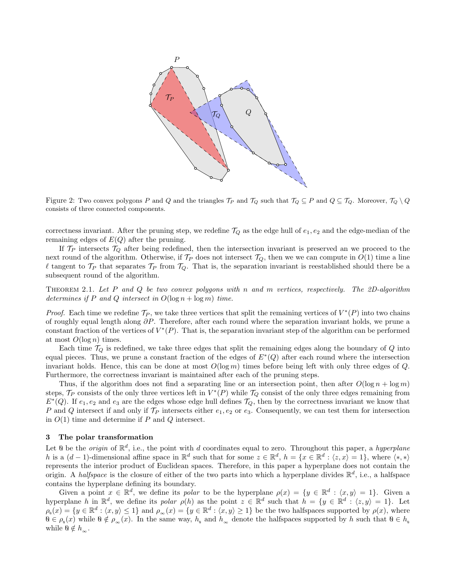

<span id="page-4-1"></span>Figure 2: Two convex polygons P and Q and the triangles  $\mathcal{T}_P$  and  $\mathcal{T}_Q$  such that  $\mathcal{T}_Q \subseteq P$  and  $Q \subseteq \mathcal{T}_Q$ . Moreover,  $\mathcal{T}_Q \setminus Q$ consists of three connected components.

correctness invariant. After the pruning step, we redefine  $\mathcal{T}_Q$  as the edge hull of  $e_1, e_2$  and the edge-median of the remaining edges of  $E(Q)$  after the pruning.

If  $\mathcal{T}_P$  intersects  $\mathcal{T}_Q$  after being redefined, then the intersection invariant is preserved an we proceed to the next round of the algorithm. Otherwise, if  $\mathcal{T}_P$  does not intersect  $\mathcal{T}_Q$ , then we we can compute in  $O(1)$  time a line  $\ell$  tangent to  $\mathcal{T}_P$  that separates  $\mathcal{T}_P$  from  $\mathcal{T}_Q$ . That is, the separation invariant is reestablished should there be a subsequent round of the algorithm.

Theorem 2.1. Let P and Q be two convex polygons with n and m vertices, respectively. The 2D-algorithm determines if P and Q intersect in  $O(\log n + \log m)$  time.

*Proof.* Each time we redefine  $\mathcal{T}_P$ , we take three vertices that split the remaining vertices of  $V^*(P)$  into two chains of roughly equal length along ∂P. Therefore, after each round where the separation invariant holds, we prune a constant fraction of the vertices of  $V^*(P)$ . That is, the separation invariant step of the algorithm can be performed at most  $O(\log n)$  times.

Each time  $\mathcal{T}_Q$  is redefined, we take three edges that split the remaining edges along the boundary of  $Q$  into equal pieces. Thus, we prune a constant fraction of the edges of  $E^*(Q)$  after each round where the intersection invariant holds. Hence, this can be done at most  $O(\log m)$  times before being left with only three edges of Q. Furthermore, the correctness invariant is maintained after each of the pruning steps.

Thus, if the algorithm does not find a separating line or an intersection point, then after  $O(\log n + \log m)$ steps,  $\mathcal{T}_P$  consists of the only three vertices left in  $V^*(P)$  while  $\mathcal{T}_Q$  consist of the only three edges remaining from  $E^*(Q)$ . If  $e_1, e_2$  and  $e_3$  are the edges whose edge hull defines  $\mathcal{T}_Q$ , then by the correctness invariant we know that P and Q intersect if and only if  $\mathcal{T}_P$  intersects either  $e_1, e_2$  or  $e_3$ . Consequently, we can test them for intersection in  $O(1)$  time and determine if P and Q intersect.

## <span id="page-4-0"></span>3 The polar transformation

Let 0 be the *origin* of  $\mathbb{R}^d$ , i.e., the point with d coordinates equal to zero. Throughout this paper, a *hyperplane* h is a  $(d-1)$ -dimensional affine space in  $\mathbb{R}^d$  such that for some  $z \in \mathbb{R}^d$ ,  $h = \{x \in \mathbb{R}^d : \langle z, x \rangle = 1\}$ , where  $\langle *, * \rangle$ represents the interior product of Euclidean spaces. Therefore, in this paper a hyperplane does not contain the origin. A halfspace is the closure of either of the two parts into which a hyperplane divides  $\mathbb{R}^d$ , i.e., a halfspace contains the hyperplane defining its boundary.

Given a point  $x \in \mathbb{R}^d$ , we define its *polar* to be the hyperplane  $\rho(x) = \{y \in \mathbb{R}^d : \langle x, y \rangle = 1\}$ . Given a hyperplane h in  $\mathbb{R}^d$ , we define its polar  $\rho(h)$  as the point  $z \in \mathbb{R}^d$  such that  $h = \{y \in \mathbb{R}^d : \langle z, y \rangle = 1\}$ . Let  $\rho_{\theta}(x) = \{y \in \mathbb{R}^d : \langle x, y \rangle \le 1\}$  and  $\rho_{\infty}(x) = \{y \in \mathbb{R}^d : \langle x, y \rangle \ge 1\}$  be the two halfspaces supported by  $\rho(x)$ , where  $0 \in \rho_{\theta}(x)$  while  $0 \notin \rho_{\infty}(x)$ . In the same way,  $h_{\theta}$  and  $h_{\infty}$  denote the halfspaces supported by h such that  $0 \in h_{\theta}$ while  $0 \notin h_{\infty}$ .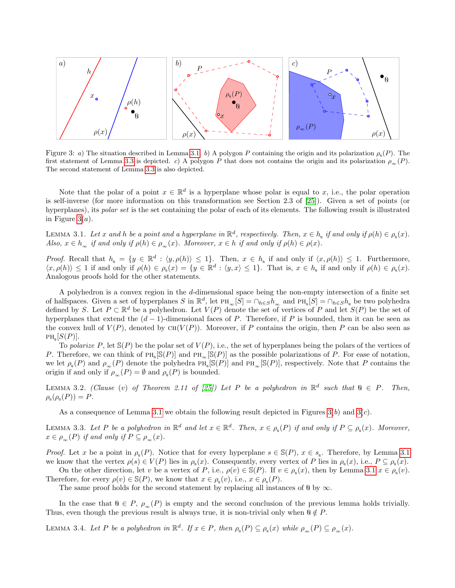

<span id="page-5-2"></span>Figure 3: a) The situation described in Lemma [3.1.](#page-5-0) b) A polygon P containing the origin and its polarization  $\rho_{\theta}(P)$ . The first statement of Lemma [3.3](#page-5-1) is depicted. c) A polygon P that does not contains the origin and its polarization  $\rho_{\infty}(P)$ . The second statement of Lemma [3.3](#page-5-1) is also depicted.

Note that the polar of a point  $x \in \mathbb{R}^d$  is a hyperplane whose polar is equal to x, i.e., the polar operation is self-inverse (for more information on this transformation see Section 2.3 of [\[25\]](#page-15-14)). Given a set of points (or hyperplanes), its *polar set* is the set containing the polar of each of its elements. The following result is illustrated in Figure  $3(a)$ .

<span id="page-5-0"></span>LEMMA 3.1. Let x and h be a point and a hyperplane in  $\mathbb{R}^d$ , respectively. Then,  $x \in h_{\theta}$  if and only if  $\rho(h) \in \rho_{\theta}(x)$ . Also,  $x \in h_{\infty}$  if and only if  $\rho(h) \in \rho_{\infty}(x)$ . Moreover,  $x \in h$  if and only if  $\rho(h) \in \rho(x)$ .

Proof. Recall that  $h_0 = \{y \in \mathbb{R}^d : \langle y, \rho(h) \rangle \leq 1\}$ . Then,  $x \in h_0$  if and only if  $\langle x, \rho(h) \rangle \leq 1$ . Furthermore,  $\langle x, \rho(h) \rangle \leq 1$  if and only if  $\rho(h) \in \rho_{\theta}(x) = \{y \in \mathbb{R}^d : \langle y, x \rangle \leq 1\}$ . That is,  $x \in h_{\theta}$  if and only if  $\rho(h) \in \rho_{\theta}(x)$ . Analogous proofs hold for the other statements.

A polyhedron is a convex region in the d-dimensional space being the non-empty intersection of a finite set of halfspaces. Given a set of hyperplanes S in  $\mathbb{R}^d$ , let  $PH_\infty[S] = \cap_{h \in S} h_\infty$  and  $PH_\theta[S] = \cap_{h \in S} h_\theta$  be two polyhedra defined by S. Let  $P \subset \mathbb{R}^d$  be a polyhedron. Let  $V(P)$  denote the set of vertices of P and let  $S(P)$  be the set of hyperplanes that extend the  $(d-1)$ -dimensional faces of P. Therefore, if P is bounded, then it can be seen as the convex hull of  $V(P)$ , denoted by  $CH(V(P))$ . Moreover, if P contains the origin, then P can be also seen as  $PH_{\theta}[S(P)].$ 

To polarize P, let  $\mathcal{S}(P)$  be the polar set of  $V(P)$ , i.e., the set of hyperplanes being the polars of the vertices of P. Therefore, we can think of  $PH_{\mathfrak{g}}[\mathbb{S}(P)]$  and  $PH_{\infty}[\mathbb{S}(P)]$  as the possible polarizations of P. For ease of notation, we let  $\rho_{\theta}(P)$  and  $\rho_{\infty}(P)$  denote the polyhedra  $\text{PH}_{\theta}[\mathbb{S}(P)]$  and  $\text{PH}_{\infty}[\mathbb{S}(P)]$ , respectively. Note that P contains the origin if and only if  $\rho_{\infty}(P) = \emptyset$  and  $\rho_{\mathfrak{g}}(P)$  is bounded.

<span id="page-5-4"></span>LEMMA 3.2. (Clause (v) of Theorem 2.11 of [\[25\]](#page-15-14)) Let P be a polyhedron in  $\mathbb{R}^d$  such that  $\theta \in P$ . Then,  $\rho_{\scriptscriptstyle{\theta}}(\rho_{\scriptscriptstyle{\theta}}(P))=P.$ 

As a consequence of Lemma [3.1](#page-5-0) we obtain the following result depicted in Figures  $3(b)$  and  $3(c)$ .

<span id="page-5-1"></span>LEMMA 3.3. Let P be a polyhedron in  $\mathbb{R}^d$  and let  $x \in \mathbb{R}^d$ . Then,  $x \in \rho_{\theta}(P)$  if and only if  $P \subseteq \rho_{\theta}(x)$ . Moreover,  $x \in \rho_{\infty}(P)$  if and only if  $P \subseteq \rho_{\infty}(x)$ .

*Proof.* Let x be a point in  $\rho_0(P)$ . Notice that for every hyperplane  $s \in \mathbb{S}(P)$ ,  $x \in s_0$ . Therefore, by Lemma [3.1](#page-5-0) we know that the vertex  $\rho(s) \in V(P)$  lies in  $\rho_{\theta}(x)$ . Consequently, every vertex of P lies in  $\rho_{\theta}(x)$ , i.e.,  $P \subseteq \rho_{\theta}(x)$ .

On the other direction, let v be a vertex of P, i.e.,  $\rho(v) \in \mathbb{S}(P)$ . If  $v \in \rho_0(x)$ , then by Lemma [3.1](#page-5-0)  $x \in \rho_0(v)$ . Therefore, for every  $\rho(v) \in \mathbb{S}(P)$ , we know that  $x \in \rho_{\theta}(v)$ , i.e.,  $x \in \rho_{\theta}(P)$ .

The same proof holds for the second statement by replacing all instances of 0 by  $\infty$ .

In the case that  $0 \in P$ ,  $\rho_{\infty}(P)$  is empty and the second conclusion of the previous lemma holds trivially. Thus, even though the previous result is always true, it is non-trivial only when  $0 \notin P$ .

<span id="page-5-3"></span>LEMMA 3.4. Let P be a polyhedron in  $\mathbb{R}^d$ . If  $x \in P$ , then  $\rho_{\theta}(P) \subseteq \rho_{\theta}(x)$  while  $\rho_{\infty}(P) \subseteq \rho_{\infty}(x)$ .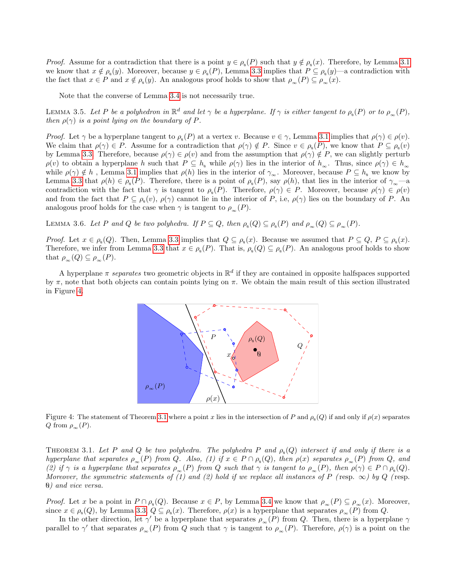*Proof.* Assume for a contradiction that there is a point  $y \in \rho_{\theta}(P)$  such that  $y \notin \rho_{\theta}(x)$ . Therefore, by Lemma [3.1](#page-5-0) we know that  $x \notin \rho_{\theta}(y)$ . Moreover, because  $y \in \rho_{\theta}(P)$ , Lemma [3.3](#page-5-1) implies that  $P \subseteq \rho_{\theta}(y)$ —a contradiction with the fact that  $x \in P$  and  $x \notin \rho_{0}(y)$ . An analogous proof holds to show that  $\rho_{\infty}(P) \subseteq \rho_{\infty}(x)$ .

Note that the converse of Lemma [3.4](#page-5-3) is not necessarily true.

<span id="page-6-2"></span>LEMMA 3.5. Let P be a polyhedron in  $\mathbb{R}^d$  and let  $\gamma$  be a hyperplane. If  $\gamma$  is either tangent to  $\rho_{\phi}(P)$  or to  $\rho_{\infty}(P)$ , then  $\rho(\gamma)$  is a point lying on the boundary of P.

*Proof.* Let  $\gamma$  be a hyperplane tangent to  $\rho_{\theta}(P)$  at a vertex v. Because  $v \in \gamma$ , Lemma [3.1](#page-5-0) implies that  $\rho(\gamma) \in \rho(v)$ . We claim that  $\rho(\gamma) \in P$ . Assume for a contradiction that  $\rho(\gamma) \notin P$ . Since  $v \in \rho_{\theta}(P)$ , we know that  $P \subseteq \rho_{\theta}(v)$ by Lemma [3.3.](#page-5-1) Therefore, because  $\rho(\gamma) \in \rho(v)$  and from the assumption that  $\rho(\gamma) \notin P$ , we can slightly perturb  $\rho(v)$  to obtain a hyperplane h such that  $P \subseteq h_{\scriptscriptstyle n}$  while  $\rho(\gamma)$  lies in the interior of  $h_{\scriptscriptstyle n}$ . Thus, since  $\rho(\gamma) \in h_{\scriptscriptstyle n}$ while  $\rho(\gamma) \notin h$ , Lemma [3.1](#page-5-0) implies that  $\rho(h)$  lies in the interior of  $\gamma_{\infty}$ . Moreover, because  $P \subseteq h_{\theta}$  we know by Lemma [3.3](#page-5-1) that  $\rho(h) \in \rho_{\theta}(P)$ . Therefore, there is a point of  $\rho_{\theta}(P)$ , say  $\rho(h)$ , that lies in the interior of  $\gamma_{\infty}$ —a contradiction with the fact that  $\gamma$  is tangent to  $\rho_0(P)$ . Therefore,  $\rho(\gamma) \in P$ . Moreover, because  $\rho(\gamma) \in \rho(v)$ and from the fact that  $P \subseteq \rho_{\theta}(v)$ ,  $\rho(\gamma)$  cannot lie in the interior of P, i.e,  $\rho(\gamma)$  lies on the boundary of P. An analogous proof holds for the case when  $\gamma$  is tangent to  $\rho_{\infty}(P)$ .

<span id="page-6-3"></span>LEMMA 3.6. Let P and Q be two polyhedra. If  $P \subseteq Q$ , then  $\rho_{\mathfrak{g}}(Q) \subseteq \rho_{\mathfrak{g}}(P)$  and  $\rho_{\infty}(Q) \subseteq \rho_{\infty}(P)$ .

*Proof.* Let  $x \in \rho_{\theta}(Q)$ . Then, Lemma [3.3](#page-5-1) implies that  $Q \subseteq \rho_{\theta}(x)$ . Because we assumed that  $P \subseteq Q$ ,  $P \subseteq \rho_{\theta}(x)$ . Therefore, we infer from Lemma [3.3](#page-5-1) that  $x \in \rho_{\theta}(P)$ . That is,  $\rho_{\theta}(Q) \subseteq \rho_{\theta}(P)$ . An analogous proof holds to show that  $\rho_{\infty}(Q) \subseteq \rho_{\infty}(P)$ .

A hyperplane  $\pi$  separates two geometric objects in  $\mathbb{R}^d$  if they are contained in opposite halfspaces supported by  $\pi$ , note that both objects can contain points lying on  $\pi$ . We obtain the main result of this section illustrated in Figure [4.](#page-6-0)



<span id="page-6-0"></span>Figure 4: The statement of Theorem [3.1](#page-6-1) where a point x lies in the intersection of P and  $\rho_0(Q)$  if and only if  $\rho(x)$  separates Q from  $\rho_{\infty}(P)$ .

<span id="page-6-1"></span>THEOREM 3.1. Let P and Q be two polyhedra. The polyhedra P and  $\rho_{\theta}(Q)$  intersect if and only if there is a hyperplane that separates  $\rho_{\infty}(P)$  from Q. Also, (1) if  $x \in P \cap \rho_{\theta}(Q)$ , then  $\rho(x)$  separates  $\rho_{\infty}(P)$  from Q, and (2) if  $\gamma$  is a hyperplane that separates  $\rho_{\infty}(P)$  from Q such that  $\gamma$  is tangent to  $\rho_{\infty}(P)$ , then  $\rho(\gamma) \in P \cap \rho_{\infty}(Q)$ . Moreover, the symmetric statements of (1) and (2) hold if we replace all instances of P (resp.  $\infty$ ) by Q (resp. 0) and vice versa.

*Proof.* Let x be a point in  $P \cap \rho_{\theta}(Q)$ . Because  $x \in P$ , by Lemma [3.4](#page-5-3) we know that  $\rho_{\infty}(P) \subseteq \rho_{\infty}(x)$ . Moreover, since  $x \in \rho_{\theta}(Q)$ , by Lemma [3.3,](#page-5-1)  $Q \subseteq \rho_{\theta}(x)$ . Therefore,  $\rho(x)$  is a hyperplane that separates  $\rho_{\infty}(P)$  from  $Q$ .

In the other direction, let  $\gamma'$  be a hyperplane that separates  $\rho_{\infty}(P)$  from Q. Then, there is a hyperplane  $\gamma$ parallel to  $\gamma'$  that separates  $\rho_{\infty}(P)$  from Q such that  $\gamma$  is tangent to  $\rho_{\infty}(P)$ . Therefore,  $\rho(\gamma)$  is a point on the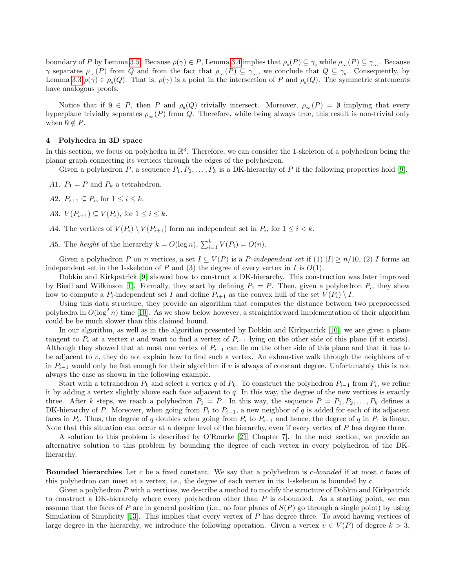boundary of P by Lemma [3.5.](#page-6-2) Because  $\rho(\gamma) \in P$ , Lemma [3.4](#page-5-3) implies that  $\rho_{\theta}(P) \subseteq \gamma_{\theta}$  while  $\rho_{\infty}(P) \subseteq \gamma_{\infty}$ . Because  $\gamma$  separates  $\rho_{\infty}(P)$  from Q and from the fact that  $\rho_{\infty}(P) \subseteq \gamma_{\infty}$ , we conclude that  $Q \subseteq \gamma_{\delta}$ . Consequently, by Lemma [3.3](#page-5-1)  $\rho(\gamma) \in \rho_{\mathfrak{g}}(Q)$ . That is,  $\rho(\gamma)$  is a point in the intersection of P and  $\rho_{\mathfrak{g}}(Q)$ . The symmetric statements have analogous proofs.

Notice that if  $0 \in P$ , then P and  $\rho_{\theta}(Q)$  trivially intersect. Moreover,  $\rho_{\infty}(P) = \emptyset$  implying that every hyperplane trivially separates  $\rho_{\infty}(P)$  from Q. Therefore, while being always true, this result is non-trivial only when  $\emptyset \notin P$ .

#### <span id="page-7-0"></span>4 Polyhedra in 3D space

In this section, we focus on polyhedra in  $\mathbb{R}^3$ . Therefore, we can consider the 1-skeleton of a polyhedron being the planar graph connecting its vertices through the edges of the polyhedron.

Given a polyhedron P, a sequence  $P_1, P_2, \ldots, P_k$  is a DK-hierarchy of P if the following properties hold [\[9\]](#page-15-7).

- A1.  $P_1 = P$  and  $P_k$  a tetrahedron.
- A2.  $P_{i+1} \subseteq P_i$ , for  $1 \leq i \leq k$ .
- A3.  $V(P_{i+1}) \subseteq V(P_i)$ , for  $1 \leq i \leq k$ .
- A4. The vertices of  $V(P_i) \setminus V(P_{i+1})$  form an independent set in  $P_i$ , for  $1 \leq i < k$ .
- A5. The *height* of the hierarchy  $k = O(\log n)$ ,  $\sum_{i=1}^{k} V(P_i) = O(n)$ .

Given a polyhedron P on n vertices, a set  $I \subseteq V(P)$  is a P-independent set if (1)  $|I| \ge n/10$ , (2) I forms an independent set in the 1-skeleton of P and (3) the degree of every vertex in I is  $O(1)$ .

Dobkin and Kirkpatrick [\[9\]](#page-15-7) showed how to construct a DK-hierarchy. This construction was later improved by Biedl and Wilkinson [\[1\]](#page-14-6). Formally, they start by defining  $P_1 = P$ . Then, given a polyhedron  $P_i$ , they show how to compute a  $P_i$ -independent set I and define  $P_{i+1}$  as the convex hull of the set  $V(P_i) \setminus I$ .

Using this data structure, they provide an algorithm that computes the distance between two preprocessed polyhedra in  $O(\log^2 n)$  time [\[10\]](#page-15-10). As we show below however, a straightforward implementation of their algorithm could be be much slower than this claimed bound.

In our algorithm, as well as in the algorithm presented by Dobkin and Kirkpatrick [\[10\]](#page-15-10), we are given a plane tangent to  $P_i$  at a vertex v and want to find a vertex of  $P_{i-1}$  lying on the other side of this plane (if it exists). Although they showed that at most one vertex of  $P_{i-1}$  can lie on the other side of this plane and that it has to be adjacent to  $v$ , they do not explain how to find such a vertex. An exhaustive walk through the neighbors of  $v$ in  $P_{i-1}$  would only be fast enough for their algorithm if v is always of constant degree. Unfortunately this is not always the case as shown in the following example.

Start with a tetrahedron  $P_k$  and select a vertex q of  $P_k$ . To construct the polyhedron  $P_{i-1}$  from  $P_i$ , we refine it by adding a vertex slightly above each face adjacent to  $q$ . In this way, the degree of the new vertices is exactly three. After k steps, we reach a polyhedron  $P_1 = P$ . In this way, the sequence  $P = P_1, P_2, \ldots, P_k$  defines a DK-hierarchy of P. Moreover, when going from  $P_i$  to  $P_{i-1}$ , a new neighbor of q is added for each of its adjacent faces in  $P_i$ . Thus, the degree of q doubles when going from  $P_i$  to  $P_{i-1}$  and hence, the degree of q in  $P_1$  is linear. Note that this situation can occur at a deeper level of the hierarchy, even if every vertex of  $P$  has degree three.

A solution to this problem is described by O'Rourke [\[21,](#page-15-11) Chapter 7]. In the next section, we provide an alternative solution to this problem by bounding the degree of each vertex in every polyhedron of the DKhierarchy.

Bounded hierarchies Let c be a fixed constant. We say that a polyhedron is c-bounded if at most c faces of this polyhedron can meet at a vertex, i.e., the degree of each vertex in its 1-skeleton is bounded by c.

Given a polyhedron  $P$  with  $n$  vertices, we describe a method to modify the structure of Dobkin and Kirkpatrick to construct a DK-hierarchy where every polyhedron other than  $P$  is c-bounded. As a starting point, we can assume that the faces of P are in general position (i.e., no four planes of  $S(P)$  go through a single point) by using Simulation of Simplicity [\[13\]](#page-15-15). This implies that every vertex of P has degree three. To avoid having vertices of large degree in the hierarchy, we introduce the following operation. Given a vertex  $v \in V(P)$  of degree  $k > 3$ ,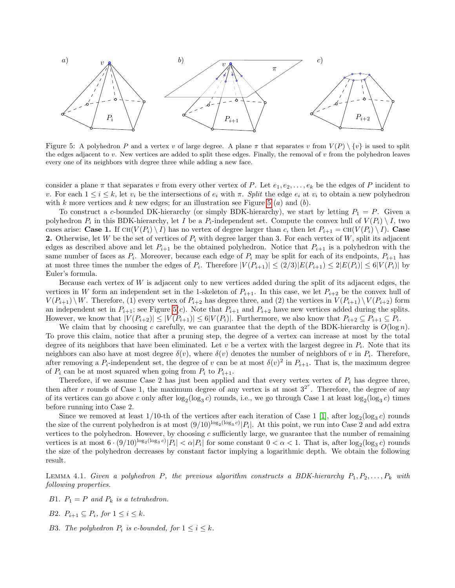

<span id="page-8-0"></span>Figure 5: A polyhedron P and a vertex v of large degree. A plane  $\pi$  that separates v from  $V(P) \setminus \{v\}$  is used to split the edges adjacent to  $v$ . New vertices are added to split these edges. Finally, the removal of  $v$  from the polyhedron leaves every one of its neighbors with degree three while adding a new face.

consider a plane  $\pi$  that separates v from every other vertex of P. Let  $e_1, e_2, \ldots, e_k$  be the edges of P incident to v. For each  $1 \le i \le k$ , let  $v_i$  be the intersections of  $e_i$  with  $\pi$ . Split the edge  $e_i$  at  $v_i$  to obtain a new polyhedron with k more vertices and k new edges; for an illustration see Figure [5](#page-8-0) (a) and (b).

To construct a c-bounded DK-hierarchy (or simply BDK-hierarchy), we start by letting  $P_1 = P$ . Given a polyhedron  $P_i$  in this BDK-hierarchy, let I be a  $P_i$ -independent set. Compute the convex hull of  $V(P_i) \setminus I$ , two cases arise: Case 1. If  $CH(V(P_i) \setminus I)$  has no vertex of degree larger than c, then let  $P_{i+1} = CH(V(P_i) \setminus I)$ . Case 2. Otherwise, let W be the set of vertices of  $P_i$  with degree larger than 3. For each vertex of W, split its adjacent edges as described above and let  $P_{i+1}$  be the obtained polyhedron. Notice that  $P_{i+1}$  is a polyhedron with the same number of faces as  $P_i$ . Moreover, because each edge of  $P_i$  may be split for each of its endpoints,  $P_{i+1}$  has at most three times the number the edges of  $P_i$ . Therefore  $|V(P_{i+1})| \leq (2/3)|E(P_{i+1})| \leq 2|E(P_i)| \leq 6|V(P_i)|$  by Euler's formula.

Because each vertex of W is adjacent only to new vertices added during the split of its adjacent edges, the vertices in W form an independent set in the 1-skeleton of  $P_{i+1}$ . In this case, we let  $P_{i+2}$  be the convex hull of  $V(P_{i+1}) \backslash W$ . Therefore, (1) every vertex of  $P_{i+2}$  has degree three, and (2) the vertices in  $V(P_{i+1}) \backslash V(P_{i+2})$  form an independent set in  $P_{i+1}$ ; see Figure [5\(](#page-8-0)c). Note that  $P_{i+1}$  and  $P_{i+2}$  have new vertices added during the splits. However, we know that  $|V(P_{i+2})| \leq |V(P_{i+1})| \leq 6|V(P_i)|$ . Furthermore, we also know that  $P_{i+2} \subseteq P_{i+1} \subseteq P_i$ .

We claim that by choosing c carefully, we can guarantee that the depth of the BDK-hierarchy is  $O(\log n)$ . To prove this claim, notice that after a pruning step, the degree of a vertex can increase at most by the total degree of its neighbors that have been eliminated. Let  $v$  be a vertex with the largest degree in  $P_i$ . Note that its neighbors can also have at most degree  $\delta(v)$ , where  $\delta(v)$  denotes the number of neighbors of v in  $P_i$ . Therefore, after removing a  $P_i$ -independent set, the degree of v can be at most  $\delta(v)^2$  in  $P_{i+1}$ . That is, the maximum degree of  $P_i$  can be at most squared when going from  $P_i$  to  $P_{i+1}$ .

Therefore, if we assume Case 2 has just been applied and that every vertex vertex of  $P_i$  has degree three, then after r rounds of Case 1, the maximum degree of any vertex is at most  $3^{2^r}$ . Therefore, the degree of any of its vertices can go above c only after  $log_2(log_3 c)$  rounds, i.e., we go through Case 1 at least  $log_2(log_3 c)$  times before running into Case 2.

Since we removed at least  $1/10$ -th of the vertices after each iteration of Case 1 [\[1\]](#page-14-6), after  $log_2(log_3 c)$  rounds the size of the current polyhedron is at most  $(9/10)^{\log_2(\log_3 c)}$ . At this point, we run into Case 2 and add extra vertices to the polyhedron. However, by choosing  $c$  sufficiently large, we guarantee that the number of remaining vertices is at most  $6 \cdot (9/10)^{\log_2(\log_3 c)} |P_i| < \alpha |P_i|$  for some constant  $0 < \alpha < 1$ . That is, after  $\log_2(\log_3 c)$  rounds the size of the polyhedron decreases by constant factor implying a logarithmic depth. We obtain the following result.

LEMMA 4.1. Given a polyhedron P, the previous algorithm constructs a BDK-hierarchy  $P_1, P_2, \ldots, P_k$  with following properties.

- B1.  $P_1 = P$  and  $P_k$  is a tetrahedron.
- B2.  $P_{i+1} \subseteq P_i$ , for  $1 \leq i \leq k$ .
- B3. The polyhedron  $P_i$  is c-bounded, for  $1 \leq i \leq k$ .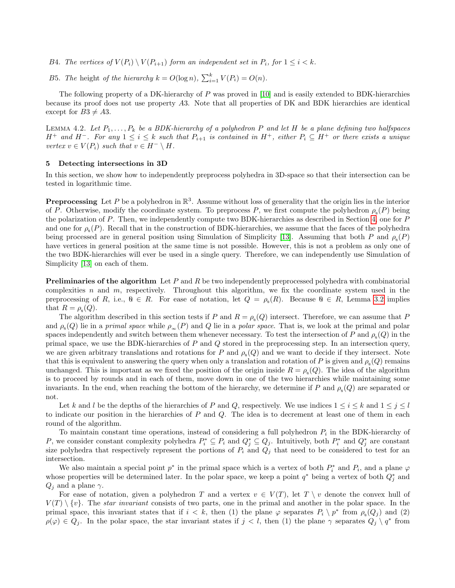B4. The vertices of  $V(P_i) \setminus V(P_{i+1})$  form an independent set in  $P_i$ , for  $1 \leq i < k$ .

B5. The height of the hierarchy  $k = O(\log n)$ ,  $\sum_{i=1}^{k} V(P_i) = O(n)$ .

The following property of a DK-hierarchy of  $P$  was proved in [\[10\]](#page-15-10) and is easily extended to BDK-hierarchies because its proof does not use property A3. Note that all properties of DK and BDK hierarchies are identical except for  $B3 \neq A3$ .

<span id="page-9-1"></span>LEMMA 4.2. Let  $P_1, \ldots, P_k$  be a BDK-hierarchy of a polyhedron P and let H be a plane defining two halfspaces  $H^+$  and  $H^-$ . For any  $1 \le i \le k$  such that  $P_{i+1}$  is contained in  $H^+$ , either  $P_i \subseteq H^+$  or there exists a unique vertex  $v \in V(P_i)$  such that  $v \in H^- \setminus H$ .

### <span id="page-9-0"></span>5 Detecting intersections in 3D

In this section, we show how to independently preprocess polyhedra in 3D-space so that their intersection can be tested in logarithmic time.

**Preprocessing** Let P be a polyhedron in  $\mathbb{R}^3$ . Assume without loss of generality that the origin lies in the interior of P. Otherwise, modify the coordinate system. To preprocess P, we first compute the polyhedron  $\rho_{\theta}(P)$  being the polarization of P. Then, we independently compute two BDK-hierarchies as described in Section [4,](#page-7-0) one for P and one for  $\rho_{\theta}(P)$ . Recall that in the construction of BDK-hierarchies, we assume that the faces of the polyhedra being processed are in general position using Simulation of Simplicity [\[13\]](#page-15-15). Assuming that both P and  $\rho_{\theta}(P)$ have vertices in general position at the same time is not possible. However, this is not a problem as only one of the two BDK-hierarchies will ever be used in a single query. Therefore, we can independently use Simulation of Simplicity [\[13\]](#page-15-15) on each of them.

**Preliminaries of the algorithm** Let  $P$  and  $R$  be two independently preprocessed polyhedra with combinatorial complexities n and m, respectively. Throughout this algorithm, we fix the coordinate system used in the preprocessing of R, i.e.,  $\mathbb{Q} \in R$ . For ease of notation, let  $Q = \rho_{\mathbb{Q}}(R)$ . Because  $\mathbb{Q} \in R$ , Lemma [3.2](#page-5-4) implies that  $R = \rho_{\text{a}}(Q)$ .

The algorithm described in this section tests if P and  $R = \rho_{\theta}(Q)$  intersect. Therefore, we can assume that P and  $\rho_{\phi}(Q)$  lie in a primal space while  $\rho_{\infty}(P)$  and Q lie in a polar space. That is, we look at the primal and polar spaces independently and switch between them whenever necessary. To test the intersection of P and  $\rho_{\theta}(Q)$  in the primal space, we use the BDK-hierarchies of  $P$  and  $Q$  stored in the preprocessing step. In an intersection query, we are given arbitrary translations and rotations for P and  $\rho_{\scriptscriptstyle{\theta}}(Q)$  and we want to decide if they intersect. Note that this is equivalent to answering the query when only a translation and rotation of P is given and  $\rho_{\theta}(Q)$  remains unchanged. This is important as we fixed the position of the origin inside  $R = \rho_{\theta}(Q)$ . The idea of the algorithm is to proceed by rounds and in each of them, move down in one of the two hierarchies while maintaining some invariants. In the end, when reaching the bottom of the hierarchy, we determine if P and  $\rho_{\theta}(Q)$  are separated or not.

Let k and l be the depths of the hierarchies of P and Q, respectively. We use indices  $1 \le i \le k$  and  $1 \le j \le l$ to indicate our position in the hierarchies of  $P$  and  $Q$ . The idea is to decrement at least one of them in each round of the algorithm.

To maintain constant time operations, instead of considering a full polyhedron  $P_i$  in the BDK-hierarchy of P, we consider constant complexity polyhedra  $P_i^* \subseteq P_i$  and  $Q_j^* \subseteq Q_j$ . Intuitively, both  $P_i^*$  and  $Q_j^*$  are constant size polyhedra that respectively represent the portions of  $P_i$  and  $Q_j$  that need to be considered to test for an intersection.

We also maintain a special point  $p^*$  in the primal space which is a vertex of both  $P_i^*$  and  $P_i$ , and a plane  $\varphi$ whose properties will be determined later. In the polar space, we keep a point  $q^*$  being a vertex of both  $Q_j^*$  and  $Q_i$  and a plane  $\gamma$ .

For ease of notation, given a polyhedron T and a vertex  $v \in V(T)$ , let  $T \setminus v$  denote the convex hull of  $V(T) \setminus \{v\}$ . The star invariant consists of two parts, one in the primal and another in the polar space. In the primal space, this invariant states that if  $i < k$ , then (1) the plane  $\varphi$  separates  $P_i \setminus p^*$  from  $\rho_0(Q_j)$  and (2)  $\rho(\varphi) \in Q_j$ . In the polar space, the star invariant states if  $j < l$ , then (1) the plane  $\gamma$  separates  $Q_j \setminus q^*$  from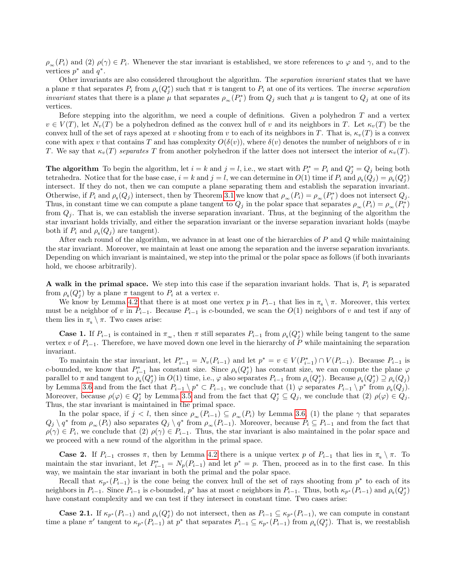$\rho_{\infty}(P_i)$  and (2)  $\rho(\gamma) \in P_i$ . Whenever the star invariant is established, we store references to  $\varphi$  and  $\gamma$ , and to the vertices  $p^*$  and  $q^*$ .

Other invariants are also considered throughout the algorithm. The separation invariant states that we have a plane  $\pi$  that separates  $P_i$  from  $\rho_{\theta}(Q_j^*)$  such that  $\pi$  is tangent to  $P_i$  at one of its vertices. The *inverse separation invariant* states that there is a plane  $\mu$  that separates  $\rho_{\infty}(P_i^*)$  from  $Q_j$  such that  $\mu$  is tangent to  $Q_j$  at one of its vertices.

Before stepping into the algorithm, we need a couple of definitions. Given a polyhedron  $T$  and a vertex  $v \in V(T)$ , let  $N_v(T)$  be a polyhedron defined as the convex hull of v and its neighbors in T. Let  $\kappa_v(T)$  be the convex hull of the set of rays apexed at v shooting from v to each of its neighbors in T. That is,  $\kappa_v(T)$  is a convex cone with apex v that contains T and has complexity  $O(\delta(v))$ , where  $\delta(v)$  denotes the number of neighbors of v in T. We say that  $\kappa_v(T)$  separates T from another polyhedron if the latter does not intersect the interior of  $\kappa_v(T)$ .

**The algorithm** To begin the algorithm, let  $i = k$  and  $j = l$ , i.e., we start with  $P_i^* = P_i$  and  $Q_j^* = Q_j$  being both tetrahedra. Notice that for the base case,  $i = k$  and  $j = l$ , we can determine in  $O(1)$  time if  $P_i$  and  $\rho_{\theta}(Q_j) = \rho_{\theta}(Q_j^*)$ intersect. If they do not, then we can compute a plane separating them and establish the separation invariant. Otherwise, if  $P_i$  and  $\rho_{\theta}(Q_j)$  intersect, then by Theorem [3.1](#page-6-1) we know that  $\rho_{\infty}(P_i) = \rho_{\infty}(P_i^*)$  does not intersect  $Q_j$ . Thus, in constant time we can compute a plane tangent to  $Q_j$  in the polar space that separates  $\rho_\infty(P_i) = \rho_\infty(P_i^*)$ from  $Q_i$ . That is, we can establish the inverse separation invariant. Thus, at the beginning of the algorithm the star invariant holds trivially, and either the separation invariant or the inverse separation invariant holds (maybe both if  $P_i$  and  $\rho_{\theta}(Q_j)$  are tangent).

After each round of the algorithm, we advance in at least one of the hierarchies of P and Q while maintaining the star invariant. Moreover, we maintain at least one among the separation and the inverse separation invariants. Depending on which invariant is maintained, we step into the primal or the polar space as follows (if both invariants hold, we choose arbitrarily).

**A** walk in the primal space. We step into this case if the separation invariant holds. That is,  $P_i$  is separated from  $\rho_{\theta}(Q_j^*)$  by a plane  $\pi$  tangent to  $P_i$  at a vertex v.

We know by Lemma [4.2](#page-9-1) that there is at most one vertex p in  $P_{i-1}$  that lies in  $\pi_0 \setminus \pi$ . Moreover, this vertex must be a neighbor of v in  $P_{i-1}$ . Because  $P_{i-1}$  is c-bounded, we scan the  $O(1)$  neighbors of v and test if any of them lies in  $\pi_{\theta} \setminus \pi$ . Two cases arise:

**Case 1.** If  $P_{i-1}$  is contained in  $\pi_{\infty}$ , then  $\pi$  still separates  $P_{i-1}$  from  $\rho_{\theta}(Q_i^*)$  while being tangent to the same vertex v of  $P_{i-1}$ . Therefore, we have moved down one level in the hierarchy of P while maintaining the separation invariant.

To maintain the star invariant, let  $P_{i-1}^* = N_v(P_{i-1})$  and let  $p^* = v \in V(P_{i-1}^*) \cap V(P_{i-1})$ . Because  $P_{i-1}$  is c-bounded, we know that  $P_{i-1}^*$  has constant size. Since  $\rho_0(Q_j^*)$  has constant size, we can compute the plane  $\varphi$ parallel to  $\pi$  and tangent to  $\rho_0(Q_j^*)$  in  $O(1)$  time, i.e.,  $\varphi$  also separates  $P_{i-1}$  from  $\rho_0(Q_j^*)$ . Because  $\rho_0(Q_j^*) \supseteq \rho_0(Q_j)$ by Lemma [3.6](#page-6-3) and from the fact that  $P_{i-1} \setminus p^* \subset P_{i-1}$ , we conclude that  $(1) \varphi$  separates  $P_{i-1} \setminus p^*$  from  $\rho_0(Q_j)$ . Moreover, because  $\rho(\varphi) \in Q_j^*$  by Lemma [3.5](#page-6-2) and from the fact that  $Q_j^* \subseteq Q_j$ , we conclude that  $(2)$   $\rho(\varphi) \in Q_j$ . Thus, the star invariant is maintained in the primal space.

In the polar space, if  $j < l$ , then since  $\rho_{\infty}(P_{i-1}) \subseteq \rho_{\infty}(P_i)$  by Lemma [3.6,](#page-6-3) (1) the plane  $\gamma$  that separates  $Q_j \setminus q^*$  from  $\rho_\infty(P_i)$  also separates  $Q_j \setminus q^*$  from  $\rho_\infty(P_{i-1})$ . Moreover, because  $P_i \subseteq P_{i-1}$  and from the fact that  $\rho(\gamma) \in P_i$ , we conclude that  $(2)$   $\rho(\gamma) \in P_{i-1}$ . Thus, the star invariant is also maintained in the polar space and we proceed with a new round of the algorithm in the primal space.

**Case 2.** If  $P_{i-1}$  crosses  $\pi$ , then by Lemma [4.2](#page-9-1) there is a unique vertex p of  $P_{i-1}$  that lies in  $\pi_{\theta} \setminus \pi$ . To maintain the star invariant, let  $P_{i-1}^* = N_p(P_{i-1})$  and let  $p^* = p$ . Then, proceed as in to the first case. In this way, we maintain the star invariant in both the primal and the polar space.

Recall that  $\kappa_{p^*}(P_{i-1})$  is the cone being the convex hull of the set of rays shooting from  $p^*$  to each of its neighbors in  $P_{i-1}$ . Since  $P_{i-1}$  is c-bounded,  $p^*$  has at most c neighbors in  $P_{i-1}$ . Thus, both  $\kappa_{p^*}(P_{i-1})$  and  $\rho_{\theta}(Q_j^*)$ have constant complexity and we can test if they intersect in constant time. Two cases arise:

**Case 2.1.** If  $\kappa_{p^*}(P_{i-1})$  and  $\rho_0(Q_j^*)$  do not intersect, then as  $P_{i-1} \subseteq \kappa_{p^*}(P_{i-1})$ , we can compute in constant time a plane  $\pi'$  tangent to  $\kappa_{p^*}(P_{i-1})$  at  $p^*$  that separates  $P_{i-1} \subseteq \kappa_{p^*}(P_{i-1})$  from  $\rho_{\theta}(Q_j^*)$ . That is, we reestablish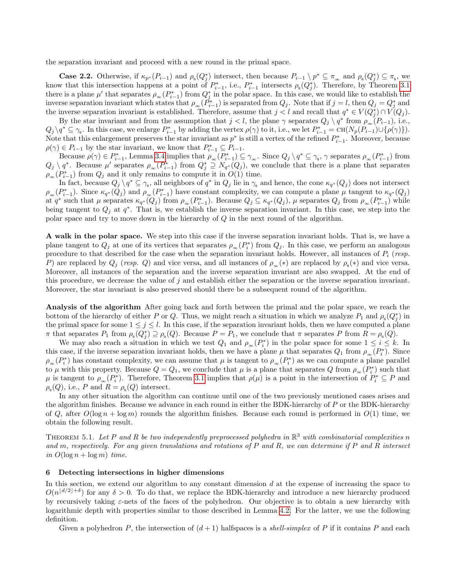the separation invariant and proceed with a new round in the primal space.

**Case 2.2.** Otherwise, if  $\kappa_{p^*}(P_{i-1})$  and  $\rho_{\theta}(Q_j^*)$  intersect, then because  $P_{i-1} \setminus p^* \subseteq \pi_{\infty}$  and  $\rho_{\theta}(Q_j^*) \subseteq \pi_{\theta}$ , we know that this intersection happens at a point of  $P_{i-1}^*$ , i.e.,  $P_{i-1}^*$  intersects  $\rho_0(Q_j^*)$ . Therefore, by Theorem [3.1](#page-6-1) there is a plane  $\mu'$  that separates  $\rho_{\infty}(P_{i-1}^*)$  from  $Q_j^*$  in the polar space. In this case, we would like to establish the inverse separation invariant which states that  $\rho_{\infty}(\tilde{P}_{i-1}^*)$  is separated from  $Q_j$ . Note that if  $j = l$ , then  $Q_j = Q_j^*$  and the inverse separation invariant is established. Therefore, assume that  $j < l$  and recall that  $q^* \in V(Q_j^*) \cap V(Q_j)$ .

By the star invariant and from the assumption that  $j < l$ , the plane  $\gamma$  separates  $Q_j \setminus q^*$  from  $\rho_{\infty}(P_{i-1})$ , i.e.,  $Q_j \setminus q^* \subseteq \gamma_{\mathfrak{g}}$ . In this case, we enlarge  $P_{i-1}^*$  by adding the vertex  $\rho(\gamma)$  to it, i.e., we let  $P_{i-1}^* = \text{CH}(N_p(P_{i-1}) \cup \{\rho(\gamma)\})$ . Note that this enlargement preserves the star invariant as  $p^*$  is still a vertex of the refined  $P_{i-1}^*$ . Moreover, because  $\rho(\gamma) \in P_{i-1}$  by the star invariant, we know that  $P_{i-1}^* \subseteq P_{i-1}$ .

Because  $\rho(\gamma) \in P_{i-1}^*$ , Lemma [3.4](#page-5-3) implies that  $\rho_\infty(P_{i-1}^*) \subseteq \gamma_\infty$ . Since  $Q_j \setminus q^* \subseteq \gamma_\omega$ ,  $\gamma$  separates  $\rho_\infty(P_{i-1}^*)$  from  $Q_j \setminus q^*$ . Because  $\mu'$  separates  $\rho_\infty(P_{i-1}^*)$  from  $Q_j^* \supseteq N_{q^*}(Q_j)$ , we conclude that there is a plane that separates  $\rho_{\infty}(P_{i-1}^*)$  from  $Q_j$  and it only remains to compute it in  $O(1)$  time.

In fact, because  $Q_j \setminus q^* \subseteq \gamma_0$ , all neighbors of  $q^*$  in  $Q_j$  lie in  $\gamma_0$  and hence, the cone  $\kappa_{q^*}(Q_j)$  does not intersect  $\rho_{\infty}(P_{i-1}^*)$ . Since  $\kappa_{q^*}(Q_j)$  and  $\rho_{\infty}(P_{i-1}^*)$  have constant complexity, we can compute a plane  $\mu$  tangent to  $\kappa_{q^*}(Q_j)$ at  $q^*$  such that  $\mu$  separates  $\kappa_{q^*}(Q_j)$  from  $\rho_{\infty}(P_{i-1}^*)$ . Because  $Q_j \subseteq \kappa_{q^*}(Q_j)$ ,  $\mu$  separates  $Q_j$  from  $\rho_{\infty}(P_{i-1}^*)$  while being tangent to  $Q_j$  at  $q^*$ . That is, we establish the inverse separation invariant. In this case, we step into the polar space and try to move down in the hierarchy of Q in the next round of the algorithm.

A walk in the polar space. We step into this case if the inverse separation invariant holds. That is, we have a plane tangent to  $Q_j$  at one of its vertices that separates  $\rho_\infty(P_i^*)$  from  $Q_j$ . In this case, we perform an analogous procedure to that described for the case when the separation invariant holds. However, all instances of  $P_i$  (resp. P) are replaced by  $Q_j$  (resp. Q) and vice versa, and all instances of  $\rho_{\infty}(*)$  are replaced by  $\rho_{\infty}(*)$  and vice versa. Moreover, all instances of the separation and the inverse separation invariant are also swapped. At the end of this procedure, we decrease the value of  $j$  and establish either the separation or the inverse separation invariant. Moreover, the star invariant is also preserved should there be a subsequent round of the algorithm.

Analysis of the algorithm After going back and forth between the primal and the polar space, we reach the bottom of the hierarchy of either P or Q. Thus, we might reach a situation in which we analyze  $P_1$  and  $\rho_{\theta}(Q_j^*)$  in the primal space for some  $1 \leq j \leq l$ . In this case, if the separation invariant holds, then we have computed a plane  $\pi$  that separates  $P_1$  from  $\rho_0(Q_j^*) \supseteq \rho_0(Q)$ . Because  $P = P_1$ , we conclude that  $\pi$  separates P from  $R = \rho_0(Q)$ .

We may also reach a situation in which we test  $Q_1$  and  $\rho_{\infty}(P_i^*)$  in the polar space for some  $1 \leq i \leq k$ . In this case, if the inverse separation invariant holds, then we have a plane  $\mu$  that separates  $Q_1$  from  $\rho_{\infty}(P_i^*)$ . Since  $\rho_{\infty}(P_i^*)$  has constant complexity, we can assume that  $\mu$  is tangent to  $\rho_{\infty}(P_i^*)$  as we can compute a plane parallel to  $\mu$  with this property. Because  $Q = Q_1$ , we conclude that  $\mu$  is a plane that separates  $Q$  from  $\rho_{\infty}(P_i^*)$  such that  $\mu$  is tangent to  $\rho_{\infty}(P_i^*)$ . Therefore, Theorem [3.1](#page-6-1) implies that  $\rho(\mu)$  is a point in the intersection of  $P_i^* \subseteq P$  and  $\rho_{\scriptscriptstyle{\theta}}(Q)$ , i.e., P and  $R = \rho_{\scriptscriptstyle{\theta}}(Q)$  intersect.

In any other situation the algorithm can continue until one of the two previously mentioned cases arises and the algorithm finishes. Because we advance in each round in either the BDK-hierarchy of P or the BDK-hierarchy of Q, after  $O(\log n + \log m)$  rounds the algorithm finishes. Because each round is performed in  $O(1)$  time, we obtain the following result.

THEOREM 5.1. Let P and R be two independently preprocessed polyhedra in  $\mathbb{R}^3$  with combinatorial complexities n and m, respectively. For any given translations and rotations of P and R, we can determine if P and R intersect in  $O(\log n + \log m)$  time.

## <span id="page-11-0"></span>6 Detecting intersections in higher dimensions

In this section, we extend our algorithm to any constant dimension  $d$  at the expense of increasing the space to  $O(n^{\lfloor d/2 \rfloor + \delta})$  for any  $\delta > 0$ . To do that, we replace the BDK-hierarchy and introduce a new hierarchy produced by recursively taking  $\varepsilon$ -nets of the faces of the polyhedron. Our objective is to obtain a new hierarchy with logarithmic depth with properties similar to those described in Lemma [4.2.](#page-9-1) For the latter, we use the following definition.

Given a polyhedron P, the intersection of  $(d+1)$  halfspaces is a *shell-simplex* of P if it contains P and each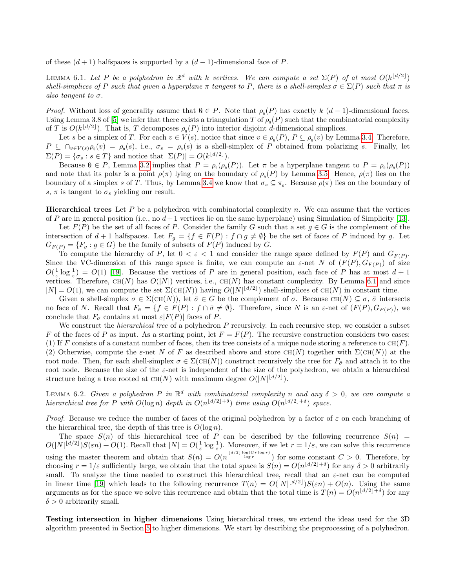<span id="page-12-0"></span>of these  $(d+1)$  halfspaces is supported by a  $(d-1)$ -dimensional face of P.

LEMMA 6.1. Let P be a polyhedron in  $\mathbb{R}^d$  with k vertices. We can compute a set  $\Sigma(P)$  of at most  $O(k^{\lfloor d/2 \rfloor})$ shell-simplices of P such that given a hyperplane  $\pi$  tangent to P, there is a shell-simplex  $\sigma \in \Sigma(P)$  such that  $\pi$  is also tangent to  $\sigma$ .

*Proof.* Without loss of generality assume that  $0 \in P$ . Note that  $\rho_{\theta}(P)$  has exactly k  $(d-1)$ -dimensional faces. Using Lemma 3.8 of [\[5\]](#page-14-7) we infer that there exists a triangulation T of  $\rho_{\phi}(P)$  such that the combinatorial complexity of T is  $O(k^{\lfloor d/2 \rfloor})$ . That is, T decomposes  $\rho_{\theta}(P)$  into interior disjoint d-dimensional simplices.

Let s be a simplex of T. For each  $v \in V(s)$ , notice that since  $v \in \rho_{\theta}(P)$ ,  $P \subseteq \rho_{\theta}(v)$  by Lemma [3.4.](#page-5-3) Therefore,  $P \subseteq \bigcap_{v \in V(s)} \rho_{\theta}(v) = \rho_{\theta}(s)$ , i.e.,  $\sigma_s = \rho_{\theta}(s)$  is a shell-simplex of P obtained from polarizing s. Finally, let  $\Sigma(P) = {\sigma_s : s \in T}$  and notice that  $|\Sigma(P)| = O(k^{\lfloor d/2 \rfloor}).$ 

Because  $0 \in P$ , Lemma [3.2](#page-5-4) implies that  $P = \rho_{\theta}(\rho_{\theta}(P))$ . Let  $\pi$  be a hyperplane tangent to  $P = \rho_{\theta}(\rho_{\theta}(P))$ and note that its polar is a point  $\rho(\pi)$  lying on the boundary of  $\rho_{\theta}(P)$  by Lemma [3.5.](#page-6-2) Hence,  $\rho(\pi)$  lies on the boundary of a simplex s of T. Thus, by Lemma [3.4](#page-5-3) we know that  $\sigma_s \subseteq \pi_{\theta}$ . Because  $\rho(\pi)$  lies on the boundary of s,  $\pi$  is tangent to  $\sigma_s$  yielding our result.

**Hierarchical trees** Let P be a polyhedron with combinatorial complexity n. We can assume that the vertices of P are in general position (i.e., no  $d+1$  vertices lie on the same hyperplane) using Simulation of Simplicity [\[13\]](#page-15-15).

Let  $F(P)$  be the set of all faces of P. Consider the family G such that a set  $g \in G$  is the complement of the intersection of  $d+1$  halfspaces. Let  $F_g = \{f \in F(P) : f \cap g \neq \emptyset\}$  be the set of faces of P induced by g. Let  $G_{F(P)} = \{F_q : g \in G\}$  be the family of subsets of  $F(P)$  induced by G.

To compute the hierarchy of P, let  $0 < \varepsilon < 1$  and consider the range space defined by  $F(P)$  and  $G_{F(P)}$ . Since the VC-dimension of this range space is finite, we can compute an  $\varepsilon$ -net N of  $(F(P), G_{F(P)})$  of size  $O(\frac{1}{\varepsilon} \log \frac{1}{\varepsilon}) = O(1)$  [\[19\]](#page-15-16). Because the vertices of P are in general position, each face of P has at most  $d+1$  $O(\frac{1}{\varepsilon} \log \frac{1}{\varepsilon}) = O(1)$  [15]. Because the vertices of T are in general position, each race of T has at most  $a + 1$  vertices. Therefore, CH(N) has  $O(|N|)$  vertices, i.e., CH(N) has constant complexity. By Lemma [6.1](#page-12-0)  $|N| = O(1)$ , we can compute the set  $\Sigma(\text{CH}(N))$  having  $O(|N|^{\lfloor d/2 \rfloor})$  shell-simplices of CH(N) in constant time.

Given a shell-simplex  $\sigma \in \Sigma(\text{CH}(N))$ , let  $\bar{\sigma} \in G$  be the complement of  $\sigma$ . Because  $\text{CH}(N) \subseteq \sigma$ ,  $\bar{\sigma}$  intersects no face of N. Recall that  $F_{\bar{\sigma}} = \{f \in F(P) : f \cap \bar{\sigma} \neq \emptyset\}$ . Therefore, since N is an  $\varepsilon$ -net of  $(F(P), G_{F(P)})$ , we conclude that  $F_{\bar{\sigma}}$  contains at most  $\varepsilon |F(P)|$  faces of P.

We construct the *hierarchical tree* of a polyhedron  $P$  recursively. In each recursive step, we consider a subset F of the faces of P as input. As a starting point, let  $F = F(P)$ . The recursive construction considers two cases: (1) If F consists of a constant number of faces, then its tree consists of a unique node storing a reference to  $CH(F)$ . (2) Otherwise, compute the  $\varepsilon$ -net N of F as described above and store CH(N) together with  $\Sigma$ (CH(N)) at the root node. Then, for each shell-simplex  $\sigma \in \Sigma(\text{CH}(N))$  construct recursively the tree for  $F_{\bar{\sigma}}$  and attach it to the root node. Because the size of the  $\varepsilon$ -net is independent of the size of the polyhedron, we obtain a hierarchical structure being a tree rooted at  $\text{CH}(N)$  with maximum degree  $O(|N|^{\lfloor d/2 \rfloor}).$ 

<span id="page-12-1"></span>LEMMA 6.2. Given a polyhedron P in  $\mathbb{R}^d$  with combinatorial complexity n and any  $\delta > 0$ , we can compute a hierarchical tree for P with  $O(\log n)$  depth in  $O(n^{\lfloor d/2 \rfloor + \delta})$  time using  $O(n^{\lfloor d/2 \rfloor + \delta})$  space.

*Proof.* Because we reduce the number of faces of the original polyhedron by a factor of  $\varepsilon$  on each branching of the hierarchical tree, the depth of this tree is  $O(\log n)$ .

The space  $S(n)$  of this hierarchical tree of P can be described by the following recurrence  $S(n)$  $O(|N|^{\lfloor d/2 \rfloor})S(\varepsilon n) + O(1)$ . Recall that  $|N| = O(\frac{1}{\varepsilon} \log \frac{1}{\varepsilon})$ . Moreover, if we let  $r = 1/\varepsilon$ , we can solve this recurrence using the master theorem and obtain that  $S(n) = O(n^{\frac{\lfloor d/2 \rfloor \log (Cr \log r)}{\log r}})$  for some constant  $C > 0$ . Therefore, by choosing  $r = 1/\varepsilon$  sufficiently large, we obtain that the total space is  $S(n) = O(n^{\lfloor d/2 \rfloor + \delta})$  for any  $\delta > 0$  arbitrarily small. To analyze the time needed to construct this hierarchical tree, recall that an  $\varepsilon$ -net can be computed in linear time [\[19\]](#page-15-16) which leads to the following recurrence  $T(n) = O(|N|^{[d/2]})S(\varepsilon n) + O(n)$ . Using the same arguments as for the space we solve this recurrence and obtain that the total time is  $T(n) = O(n^{\lfloor d/2 \rfloor + \delta})$  for any  $\delta > 0$  arbitrarily small.

Testing intersection in higher dimensions Using hierarchical trees, we extend the ideas used for the 3D algorithm presented in Section [5](#page-9-0) to higher dimensions. We start by describing the preprocessing of a polyhedron.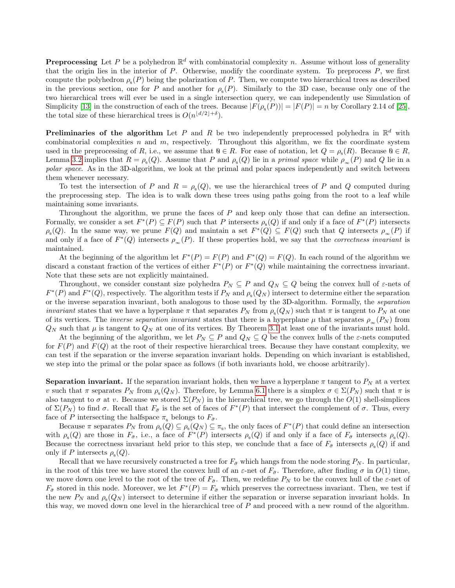**Preprocessing** Let P be a polyhedron  $\mathbb{R}^d$  with combinatorial complexity n. Assume without loss of generality that the origin lies in the interior of  $P$ . Otherwise, modify the coordinate system. To preprocess  $P$ , we first compute the polyhedron  $\rho_{\scriptscriptstyle{0}}(P)$  being the polarization of P. Then, we compute two hierarchical trees as described in the previous section, one for P and another for  $\rho_{\theta}(P)$ . Similarly to the 3D case, because only one of the two hierarchical trees will ever be used in a single intersection query, we can independently use Simulation of Simplicity [\[13\]](#page-15-15) in the construction of each of the trees. Because  $|F(\rho_{\theta}(P))| = |F(P)| = n$  by Corollary 2.14 of [\[25\]](#page-15-14), the total size of these hierarchical trees is  $O(n^{\lfloor d/2 \rfloor + \delta})$ .

**Preliminaries of the algorithm** Let P and R be two independently preprocessed polyhedra in  $\mathbb{R}^d$  with combinatorial complexities n and m, respectively. Throughout this algorithm, we fix the coordinate system used in the preprocessing of R, i.e., we assume that  $0 \in R$ . For ease of notation, let  $Q = \rho_{\theta}(R)$ . Because  $0 \in R$ , Lemma [3.2](#page-5-4) implies that  $R = \rho_0(Q)$ . Assume that P and  $\rho_0(Q)$  lie in a primal space while  $\rho_\infty(P)$  and Q lie in a polar space. As in the 3D-algorithm, we look at the primal and polar spaces independently and switch between them whenever necessary.

To test the intersection of P and  $R = \rho_{\theta}(Q)$ , we use the hierarchical trees of P and Q computed during the preprocessing step. The idea is to walk down these trees using paths going from the root to a leaf while maintaining some invariants.

Throughout the algorithm, we prune the faces of P and keep only those that can define an intersection. Formally, we consider a set  $F^*(P) \subseteq F(P)$  such that P intersects  $\rho_0(Q)$  if and only if a face of  $F^*(P)$  intersects  $\rho_{\theta}(Q)$ . In the same way, we prune  $F(Q)$  and maintain a set  $F^*(Q) \subseteq F(Q)$  such that Q intersects  $\rho_{\infty}(P)$  if and only if a face of  $F^*(Q)$  intersects  $\rho_{\infty}(P)$ . If these properties hold, we say that the *correctness invariant* is maintained.

At the beginning of the algorithm let  $F^*(P) = F(P)$  and  $F^*(Q) = F(Q)$ . In each round of the algorithm we discard a constant fraction of the vertices of either  $F^*(P)$  or  $F^*(Q)$  while maintaining the correctness invariant. Note that these sets are not explicitly maintained.

Throughout, we consider constant size polyhedra  $P_N \subseteq P$  and  $Q_N \subseteq Q$  being the convex hull of  $\varepsilon$ -nets of  $F^*(P)$  and  $F^*(Q)$ , respectively. The algorithm tests if  $P_N$  and  $\rho_{\theta}(Q_N)$  intersect to determine either the separation or the inverse separation invariant, both analogous to those used by the 3D-algorithm. Formally, the separation *invariant* states that we have a hyperplane  $\pi$  that separates  $P_N$  from  $\rho_0(Q_N)$  such that  $\pi$  is tangent to  $P_N$  at one of its vertices. The *inverse separation invariant* states that there is a hyperplane  $\mu$  that separates  $\rho_{\infty}(P_N)$  from  $Q_N$  such that  $\mu$  is tangent to  $Q_N$  at one of its vertices. By Theorem [3.1](#page-6-1) at least one of the invariants must hold.

At the beginning of the algorithm, we let  $P_N \subseteq P$  and  $Q_N \subseteq Q$  be the convex hulls of the  $\varepsilon$ -nets computed for  $F(P)$  and  $F(Q)$  at the root of their respective hierarchical trees. Because they have constant complexity, we can test if the separation or the inverse separation invariant holds. Depending on which invariant is established, we step into the primal or the polar space as follows (if both invariants hold, we choose arbitrarily).

**Separation invariant.** If the separation invariant holds, then we have a hyperplane  $\pi$  tangent to  $P_N$  at a vertex v such that  $\pi$  separates  $P_N$  from  $\rho_0(Q_N)$ . Therefore, by Lemma [6.1](#page-12-0) there is a simplex  $\sigma \in \Sigma(P_N)$  such that  $\pi$  is also tangent to  $\sigma$  at v. Because we stored  $\Sigma(P_N)$  in the hierarchical tree, we go through the  $O(1)$  shell-simplices of  $\Sigma(P_N)$  to find  $\sigma$ . Recall that  $F_{\bar{\sigma}}$  is the set of faces of  $F^*(P)$  that intersect the complement of  $\sigma$ . Thus, every face of P intersecting the halfspace  $\pi_{\scriptscriptstyle\rm B}$  belongs to  $F_{\bar{\sigma}}$ .

Because  $\pi$  separates  $P_N$  from  $\rho_0(Q) \subseteq \rho_0(Q_N) \subseteq \pi_0$ , the only faces of  $F^*(P)$  that could define an intersection with  $\rho_{\theta}(Q)$  are those in  $F_{\bar{\sigma}}$ , i.e., a face of  $F^*(P)$  intersects  $\rho_{\theta}(Q)$  if and only if a face of  $F_{\bar{\sigma}}$  intersects  $\rho_{\theta}(Q)$ . Because the correctness invariant held prior to this step, we conclude that a face of  $F_{\bar{\sigma}}$  intersects  $\rho_{\phi}(Q)$  if and only if P intersects  $\rho_{\theta}(Q)$ .

Recall that we have recursively constructed a tree for  $F_{\bar{\sigma}}$  which hangs from the node storing  $P_N$ . In particular, in the root of this tree we have stored the convex hull of an  $\varepsilon$ -net of  $F_{\bar{\sigma}}$ . Therefore, after finding  $\sigma$  in  $O(1)$  time, we move down one level to the root of the tree of  $F_{\bar{\sigma}}$ . Then, we redefine  $P_N$  to be the convex hull of the  $\varepsilon$ -net of  $F_{\bar{\sigma}}$  stored in this node. Moreover, we let  $F^*(P) = F_{\bar{\sigma}}$  which preserves the correctness invariant. Then, we test if the new  $P_N$  and  $\rho_{\theta}(Q_N)$  intersect to determine if either the separation or inverse separation invariant holds. In this way, we moved down one level in the hierarchical tree of P and proceed with a new round of the algorithm.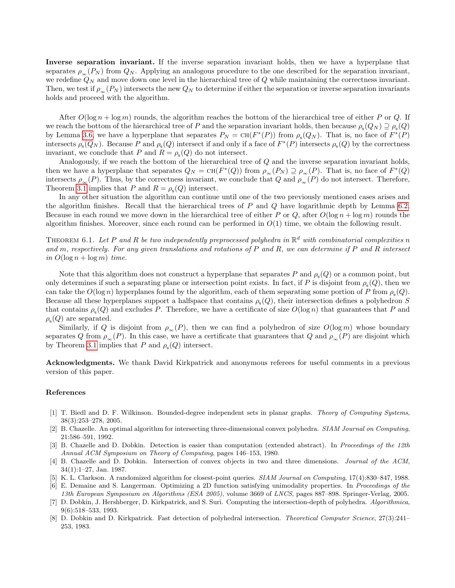Inverse separation invariant. If the inverse separation invariant holds, then we have a hyperplane that separates  $\rho_{\infty}(P_N)$  from  $Q_N$ . Applying an analogous procedure to the one described for the separation invariant, we redefine  $Q_N$  and move down one level in the hierarchical tree of  $Q$  while maintaining the correctness invariant. Then, we test if  $\rho_{\infty}(P_N)$  intersects the new  $Q_N$  to determine if either the separation or inverse separation invariants holds and proceed with the algorithm.

After  $O(\log n + \log m)$  rounds, the algorithm reaches the bottom of the hierarchical tree of either P or Q. If we reach the bottom of the hierarchical tree of P and the separation invariant holds, then because  $\rho_0(Q_N) \supseteq \rho_0(Q)$ by Lemma [3.6,](#page-6-3) we have a hyperplane that separates  $P_N = \text{CH}(F^*(P))$  from  $\rho_{\theta}(Q_N)$ . That is, no face of  $F^*(P)$ intersects  $\rho_{\theta}(Q_N)$ . Because P and  $\rho_{\theta}(Q)$  intersect if and only if a face of  $F^*(P)$  intersects  $\rho_{\theta}(Q)$  by the correctness invariant, we conclude that P and  $R = \rho_{\theta}(Q)$  do not intersect.

Analogously, if we reach the bottom of the hierarchical tree of Q and the inverse separation invariant holds, then we have a hyperplane that separates  $Q_N = \text{CH}(F^*(Q))$  from  $\rho_\infty(P_N) \supseteq \rho_\infty(P)$ . That is, no face of  $F^*(Q)$ intersects  $\rho_{\infty}(P)$ . Thus, by the correctness invariant, we conclude that Q and  $\rho_{\infty}(P)$  do not intersect. Therefore, Theorem [3.1](#page-6-1) implies that P and  $R = \rho_{\theta}(Q)$  intersect.

In any other situation the algorithm can continue until one of the two previously mentioned cases arises and the algorithm finishes. Recall that the hierarchical trees of  $P$  and  $Q$  have logarithmic depth by Lemma [6.2.](#page-12-1) Because in each round we move down in the hierarchical tree of either P or Q, after  $O(\log n + \log m)$  rounds the algorithm finishes. Moreover, since each round can be performed in  $O(1)$  time, we obtain the following result.

THEOREM 6.1. Let P and R be two independently preprocessed polyhedra in  $\mathbb{R}^d$  with combinatorial complexities n and m, respectively. For any given translations and rotations of  $P$  and  $R$ , we can determine if  $P$  and  $R$  intersect in  $O(\log n + \log m)$  time.

Note that this algorithm does not construct a hyperplane that separates P and  $\rho_{\theta}(Q)$  or a common point, but only determines if such a separating plane or intersection point exists. In fact, if P is disjoint from  $\rho_0(Q)$ , then we can take the  $O(\log n)$  hyperplanes found by the algorithm, each of them separating some portion of P from  $\rho_0(Q)$ . Because all these hyperplanes support a halfspace that contains  $\rho_{\scriptscriptstyle{\theta}}(Q)$ , their intersection defines a polyhedron S that contains  $\rho_{\theta}(Q)$  and excludes P. Therefore, we have a certificate of size  $O(\log n)$  that guarantees that P and  $\rho_{\scriptscriptstyle{\theta}}(Q)$  are separated.

Similarly, if Q is disjoint from  $\rho_{\infty}(P)$ , then we can find a polyhedron of size  $O(\log m)$  whose boundary separates Q from  $\rho_{\infty}(P)$ . In this case, we have a certificate that guarantees that Q and  $\rho_{\infty}(P)$  are disjoint which by Theorem [3.1](#page-6-1) implies that P and  $\rho_{\scriptscriptstyle{\theta}}(Q)$  intersect.

Acknowledgments. We thank David Kirkpatrick and anonymous referees for useful comments in a previous version of this paper.

## References

- <span id="page-14-6"></span>[1] T. Biedl and D. F. Wilkinson. Bounded-degree independent sets in planar graphs. Theory of Computing Systems, 38(3):253–278, 2005.
- <span id="page-14-0"></span>[2] B. Chazelle. An optimal algorithm for intersecting three-dimensional convex polyhedra. SIAM Journal on Computing, 21:586–591, 1992.
- <span id="page-14-1"></span>[3] B. Chazelle and D. Dobkin. Detection is easier than computation (extended abstract). In Proceedings of the 12th Annual ACM Symposium on Theory of Computing, pages 146–153, 1980.
- <span id="page-14-2"></span>[4] B. Chazelle and D. Dobkin. Intersection of convex objects in two and three dimensions. Journal of the ACM, 34(1):1–27, Jan. 1987.
- <span id="page-14-7"></span>[5] K. L. Clarkson. A randomized algorithm for closest-point queries. SIAM Journal on Computing, 17(4):830–847, 1988.
- <span id="page-14-4"></span>[6] E. Demaine and S. Langerman. Optimizing a 2D function satisfying unimodality properties. In Proceedings of the 13th European Symposium on Algorithms (ESA 2005), volume 3669 of LNCS, pages 887–898. Springer-Verlag, 2005.
- <span id="page-14-5"></span>[7] D. Dobkin, J. Hershberger, D. Kirkpatrick, and S. Suri. Computing the intersection-depth of polyhedra. Algorithmica, 9(6):518–533, 1993.
- <span id="page-14-3"></span>[8] D. Dobkin and D. Kirkpatrick. Fast detection of polyhedral intersection. Theoretical Computer Science, 27(3):241– 253, 1983.